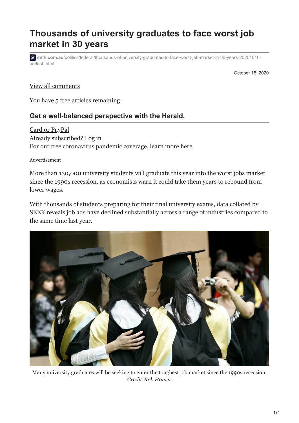# **Thousands of university graduates to face worst job market in 30 years**

**s** smh.com.au[/politics/federal/thousands-of-university-graduates-to-face-worst-job-market-in-30-years-20201016](https://www.smh.com.au/politics/federal/thousands-of-university-graduates-to-face-worst-job-market-in-30-years-20201016-p565sb.html) p565sb.html

October 18, 2020

#### View all comments

You have 5 free articles remaining

#### **Get a well-balanced perspective with the Herald.**

[Card or PayPal](https://www.smh.com.au/subscription/account/?bundle_key=smh_webonly&promotion_code=smhwa2250for3-pkbjja&promote_channel=HI_MT_SWG) Already subscribed? [Log in](javascript:void(0);) For our free coronavirus pandemic coverage, [learn more here.](https://www.smh.com.au/national/how-we-re-keeping-you-informed-during-this-crisis-20200324-p54db0.html)

Advertisement

More than 130,000 university students will graduate this year into the worst jobs market since the 1990s recession, as economists warn it could take them years to rebound from lower wages.

With thousands of students preparing for their final university exams, data collated by SEEK reveals job ads have declined substantially across a range of industries compared to the same time last year.



Many university graduates will be seeking to enter the toughest job market since the 1990s recession. *Credit:Rob Homer*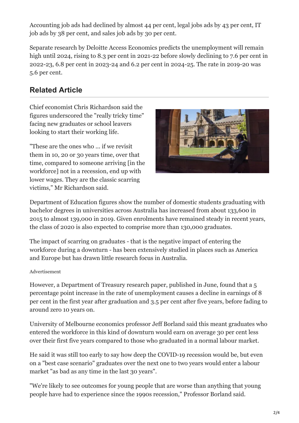Accounting job ads had declined by almost 44 per cent, legal jobs ads by 43 per cent, IT job ads by 38 per cent, and sales job ads by 30 per cent.

Separate research by Deloitte Access Economics predicts the unemployment will remain high until 2024, rising to 8.3 per cent in 2021-22 before slowly declining to 7.6 per cent in 2022-23, 6.8 per cent in 2023-24 and 6.2 per cent in 2024-25. The rate in 2019-20 was 5.6 per cent.

## **Related Article**

Chief economist Chris Richardson said the figures underscored the "really tricky time" facing new graduates or school leavers looking to start their working life.

"These are the ones who ... if we revisit them in 10, 20 or 30 years time, over that time, compared to someone arriving [in the workforce] not in a recession, end up with lower wages. They are the classic scarring victims," Mr Richardson said.



Department of Education figures show the number of domestic students graduating with bachelor degrees in universities across Australia has increased from about 133,600 in 2015 to almost 139,000 in 2019. Given enrolments have remained steady in recent years, the class of 2020 is also expected to comprise more than 130,000 graduates.

The impact of scarring on graduates - that is the negative impact of entering the workforce during a downturn - has been extensively studied in places such as America and Europe but has drawn little research focus in Australia.

#### Advertisement

However, a Department of Treasury research paper, published in June, found that a 5 percentage point increase in the rate of unemployment causes a decline in earnings of 8 per cent in the first year after graduation and 3.5 per cent after five years, before fading to around zero 10 years on.

University of Melbourne economics professor Jeff Borland said this meant graduates who entered the workforce in this kind of downturn would earn on average 30 per cent less over their first five years compared to those who graduated in a normal labour market.

He said it was still too early to say how deep the COVID-19 recession would be, but even on a "best case scenario" graduates over the next one to two years would enter a labour market "as bad as any time in the last 30 years".

"We're likely to see outcomes for young people that are worse than anything that young people have had to experience since the 1990s recession," Professor Borland said.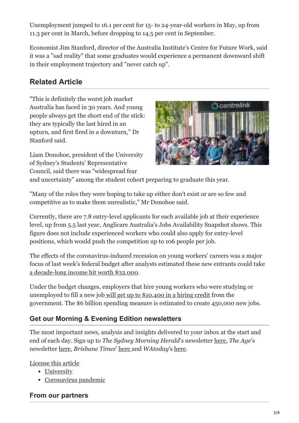Unemployment jumped to 16.1 per cent for 15- to 24-year-old workers in May, up from 11.3 per cent in March, before dropping to 14.5 per cent in September.

Economist Jim Stanford, director of the Australia Institute's Centre for Future Work, said it was a "sad reality" that some graduates would experience a permanent downward shift in their employment trajectory and "never catch up".

### **Related Article**

"This is definitely the worst job market Australia has faced in 30 years. And young people always get the short end of the stick: they are typically the last hired in an upturn, and first fired in a downturn," Dr Stanford said.

Liam Donohoe, president of the University of Sydney's Students' Representative Council, said there was "widespread fear



and uncertainty" among the student cohort preparing to graduate this year.

"Many of the roles they were hoping to take up either don't exist or are so few and competitive as to make them unrealistic," Mr Donohoe said.

Currently, there are 7.8 entry-level applicants for each available job at their experience level, up from 5.5 last year, Anglicare Australia's Jobs Availability Snapshot shows. This figure does not include experienced workers who could also apply for entry-level positions, which would push the competition up to 106 people per job.

The effects of the coronavirus-induced recession on young workers' careers was a major focus of last week's federal budget after analysts estimated these new entrants could take [a decade-long income hit worth \\$32,000.](https://www.smh.com.au/politics/federal/young-workers-face-32-000-income-hit-as-calls-grow-for-more-stimulus-20200626-p556gc.html)

Under the budget changes, employers that hire young workers who were studying or unemployed to fill a new job [will get up to \\$10,400 in a hiring credit](https://www.smh.com.au/politics/federal/young-people-focus-of-government-s-covid-19-jobs-recovery-plan-20201001-p5614s.html) from the government. The \$6 billion spending measure is estimated to create 450,000 new jobs.

### **Get our Morning & Evening Edition newsletters**

The most important news, analysis and insights delivered to your inbox at the start and end of each day. Sign up to *The Sydney Morning Herald*'s newsletter [here](https://login.myfairfax.com.au/signup_newsletter/40?channel_key=zHE9EWDHf1XPuz3Phk0YIg&callback_uri=https://www.smh.com.au), *The Age*'s newsletter [here](https://login.myfairfax.com.au/signup_newsletter/44?channel_key=4vLxp6nBuWVKEPLaQuUKwA&callback_uri=https://www.theage.com.au), *Brisbane Times*' [here a](https://login.myfairfax.com.au/signup_newsletter/2095?channel_key=7SMsQ6jjgIqPyo9XFzdzWg&callback_uri=https://www.brisbanetimes.com.au)nd *WAtoday*'s [here.](https://login.myfairfax.com.au/signup_newsletter/2142?channel_key=cWvEleexy48f-PI5-jlBnw&callback_uri=https://www.watoday.com.au)

[License this article](http://rightsportal.copyright.com.au/pages/republicationpage.aspx?author=Lisa%20Visentin%20and%20Jennifer%20Duke&publication=SMH&publicationdate=2020-10-18T13%3A05%3A00Z&publisher=fxj&title=Thousands%20of%20university%20graduates%20to%20face%20worst%20job%20market%20in%2030%20years&url=https%3A%2F%2Fwww.smh.com.au%2Fpolitics%2Ffederal%2Fthousands-of-university-graduates-to-face-worst-job-market-in-30-years-20201016-p565sb.html)

- [University](https://www.smh.com.au/topic/university-63k)
- [Coronavirus pandemic](https://www.smh.com.au/coronavirus-pandemic)

#### **From our partners**